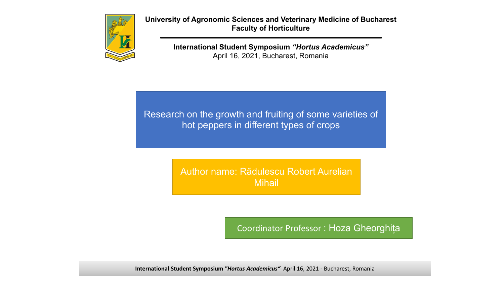

**University of Agronomic Sciences and Veterinary Medicine of Bucharest Faculty of Horticulture**

> **International Student Symposium** *"Hortus Academicus"* April 16, 2021, Bucharest, Romania

Research on the growth and fruiting of some varieties of hot peppers in different types of crops

> Author name: Rădulescu Robert Aurelian Mihail

> > Coordinator Professor : Hoza Gheorghița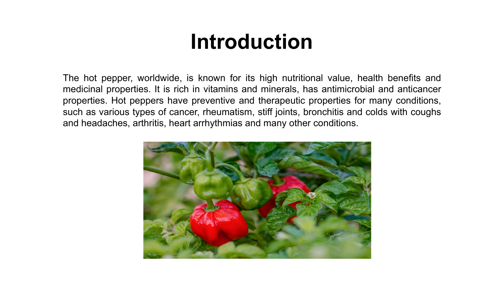### **Introduction**

The hot pepper, worldwide, is known for its high nutritional value, health benefits and medicinal properties. It is rich in vitamins and minerals, has antimicrobial and anticancer properties. Hot peppers have preventive and therapeutic properties for many conditions, such as various types of cancer, rheumatism, stiff joints, bronchitis and colds with coughs and headaches, arthritis, heart arrhythmias and many other conditions.

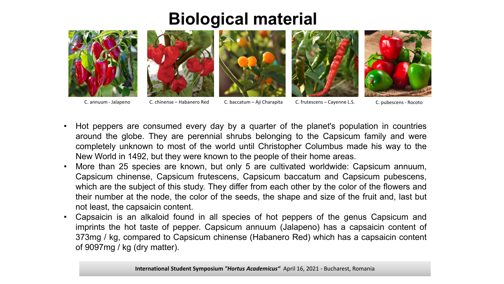### **Biological material**











C. annuum - Jalapeno C. chinense – Habanero Red C. baccatum – Aji Charapita C. frutescens – Cayenne L.S. C. pubescens - Rocoto

- Hot peppers are consumed every day by a quarter of the planet's population in countries around the globe. They are perennial shrubs belonging to the Capsicum family and were completely unknown to most of the world until Christopher Columbus made his way to the New World in 1492, but they were known to the people of their home areas.
- More than 25 species are known, but only 5 are cultivated worldwide: Capsicum annuum, Capsicum chinense, Capsicum frutescens, Capsicum baccatum and Capsicum pubescens, which are the subject of this study. They differ from each other by the color of the flowers and their number at the node, the color of the seeds, the shape and size of the fruit and, last but not least, the capsaicin content.
- Capsaicin is an alkaloid found in all species of hot peppers of the genus Capsicum and imprints the hot taste of pepper. Capsicum annuum (Jalapeno) has a capsaicin content of 373mg / kg, compared to Capsicum chinense (Habanero Red) which has a capsaicin content of 9097mg / kg (dry matter).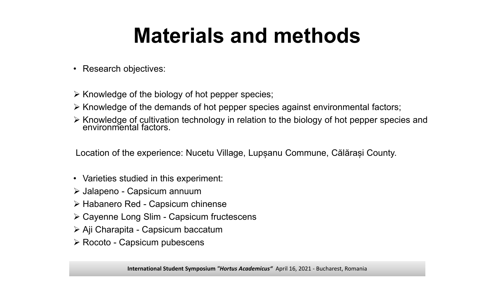## **Materials and methods**

- Research objectives:
- $\triangleright$  Knowledge of the biology of hot pepper species;
- $\triangleright$  Knowledge of the demands of hot pepper species against environmental factors;
- $\triangleright$  Knowledge of cultivation technology in relation to the biology of hot pepper species and environmental factors.

Location of the experience: Nucetu Village, Lupșanu Commune, Călărași County.

- Varieties studied in this experiment:
- Jalapeno Capsicum annuum
- Habanero Red Capsicum chinense
- Cayenne Long Slim Capsicum fructescens
- Aji Charapita Capsicum baccatum
- **≻ Rocoto Capsicum pubescens**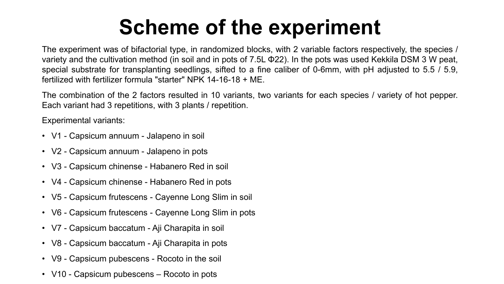# **Scheme of the experiment**

The experiment was of bifactorial type, in randomized blocks, with 2 variable factors respectively, the species / variety and the cultivation method (in soil and in pots of 7.5L Φ22). In the pots was used Kekkila DSM 3 W peat, special substrate for transplanting seedlings, sifted to a fine caliber of 0-6mm, with pH adjusted to 5.5 / 5.9, fertilized with fertilizer formula "starter" NPK 14-16-18 + ME.

The combination of the 2 factors resulted in 10 variants, two variants for each species / variety of hot pepper. Each variant had 3 repetitions, with 3 plants / repetition.

Experimental variants:

- V1 Capsicum annuum Jalapeno in soil
- V2 Capsicum annuum Jalapeno in pots
- V3 Capsicum chinense Habanero Red in soil
- V4 Capsicum chinense Habanero Red in pots
- V5 Capsicum frutescens Cayenne Long Slim in soil
- V6 Capsicum frutescens Cayenne Long Slim in pots
- V7 Capsicum baccatum Aji Charapita in soil
- V8 Capsicum baccatum Aji Charapita in pots
- V9 Capsicum pubescens Rocoto in the soil
- V10 Capsicum pubescens Rocoto in pots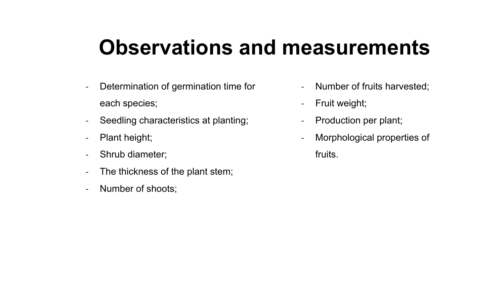### **Observations and measurements**

- Determination of germination time for each species;
- Seedling characteristics at planting;
- Plant height;
- Shrub diameter;
- The thickness of the plant stem;
- Number of shoots;
- Number of fruits harvested;
- Fruit weight;
- Production per plant;
- Morphological properties of
	- fruits.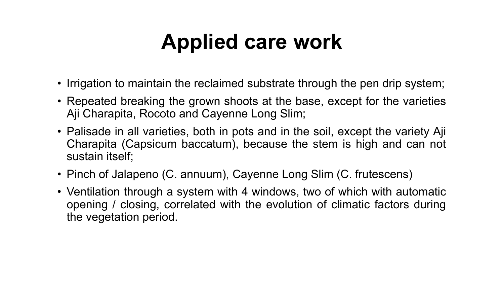# **Applied care work**

- Irrigation to maintain the reclaimed substrate through the pen drip system;
- Repeated breaking the grown shoots at the base, except for the varieties Aji Charapita, Rocoto and Cayenne Long Slim;
- Palisade in all varieties, both in pots and in the soil, except the variety Aji Charapita (Capsicum baccatum), because the stem is high and can not sustain itself;
- Pinch of Jalapeno (C. annuum), Cayenne Long Slim (C. frutescens)
- Ventilation through a system with 4 windows, two of which with automatic opening / closing, correlated with the evolution of climatic factors during the vegetation period.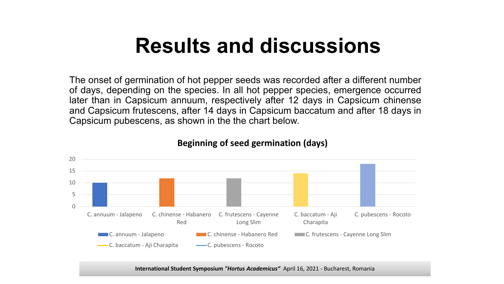The onset of germination of hot pepper seeds was recorded after a different number of days, depending on the species. In all hot pepper species, emergence occurred later than in Capsicum annuum, respectively after 12 days in Capsicum chinense and Capsicum frutescens, after 14 days in Capsicum baccatum and after 18 days in Capsicum pubescens, as shown in the the chart below.



#### **Beginning of seed germination (days)**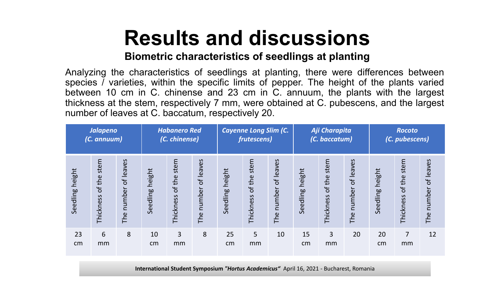#### **Biometric characteristics of seedlings at planting**

Analyzing the characteristics of seedlings at planting, there were differences between species / varieties, within the specific limits of pepper. The height of the plants varied between 10 cm in C. chinense and 23 cm in C. annuum, the plants with the largest thickness at the stem, respectively 7 mm, were obtained at C. pubescens, and the largest number of leaves at C. baccatum, respectively 20.

| <b>Jalapeno</b><br>(C. annuum) |                             | <b>Habanero Red</b><br>(C. chinense) |                 | <b>Cayenne Long Slim (C.</b><br>frutescens) |                         |                    | Aji Charapita<br>(C. baccatum) |                            |                 | Rocoto<br>(C. pubescens)    |                            |                    |                             |                              |
|--------------------------------|-----------------------------|--------------------------------------|-----------------|---------------------------------------------|-------------------------|--------------------|--------------------------------|----------------------------|-----------------|-----------------------------|----------------------------|--------------------|-----------------------------|------------------------------|
| Seedling height                | stem<br>of the<br>Thickness | of leaves<br>number<br>The           | Seedling height | stem<br>of the<br>Thickness                 | of leaves<br>The number | height<br>Seedling | stem<br>of the<br>Thickness    | of leaves<br>number<br>The | Seedling height | stem<br>of the<br>Thickness | of leaves<br>number<br>The | height<br>Seedling | stem<br>of the<br>Thickness | of leaves<br>number<br>The i |
| 23<br>cm                       | 6<br>mm                     | 8                                    | 10<br>cm        | 3<br>mm                                     | 8                       | 25<br>cm           | 5<br>mm                        | 10                         | 15<br>cm        | 3<br>mm                     | 20                         | 20<br>cm           | 7<br>mm                     | 12                           |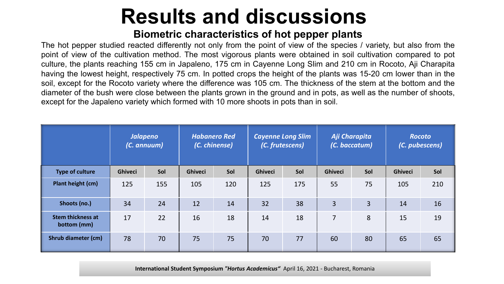#### **Biometric characteristics of hot pepper plants**

The hot pepper studied reacted differently not only from the point of view of the species / variety, but also from the point of view of the cultivation method. The most vigorous plants were obtained in soil cultivation compared to pot culture, the plants reaching 155 cm in Japaleno, 175 cm in Cayenne Long Slim and 210 cm in Rocoto, Aji Charapita having the lowest height, respectively 75 cm. In potted crops the height of the plants was 15-20 cm lower than in the soil, except for the Rocoto variety where the difference was 105 cm. The thickness of the stem at the bottom and the diameter of the bush were close between the plants grown in the ground and in pots, as well as the number of shoots, except for the Japaleno variety which formed with 10 more shoots in pots than in soil.

|                                         | <b>Jalapeno</b><br>(C. annuum) |     | <b>Habanero Red</b><br>(C. chinense) |     | <b>Cayenne Long Slim</b><br>(C. frutescens) |     | Aji Charapita<br>(C. baccatum) |                | <b>Rocoto</b><br>(C. pubescens) |     |
|-----------------------------------------|--------------------------------|-----|--------------------------------------|-----|---------------------------------------------|-----|--------------------------------|----------------|---------------------------------|-----|
| <b>Type of culture</b>                  | <b>Ghiveci</b>                 | Sol | <b>Ghiveci</b>                       | Sol | <b>Ghiveci</b>                              | Sol | <b>Ghiveci</b>                 | Sol            | <b>Ghiveci</b>                  | Sol |
| Plant height (cm)                       | 125                            | 155 | 105                                  | 120 | 125                                         | 175 | 55                             | 75             | 105                             | 210 |
| Shoots (no.)                            | 34                             | 24  | 12                                   | 14  | 32                                          | 38  | $\overline{3}$                 | $\overline{3}$ | 14                              | 16  |
| <b>Stem thickness at</b><br>bottom (mm) | 17                             | 22  | 16                                   | 18  | 14                                          | 18  | $\overline{7}$                 | 8              | 15                              | 19  |
| <b>Shrub diameter (cm)</b>              | 78                             | 70  | 75                                   | 75  | 70                                          | 77  | 60                             | 80             | 65                              | 65  |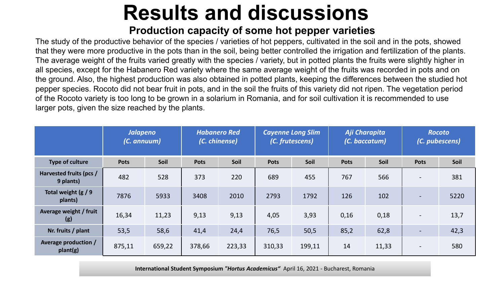#### **Production capacity of some hot pepper varieties**

The study of the productive behavior of the species / varieties of hot peppers, cultivated in the soil and in the pots, showed that they were more productive in the pots than in the soil, being better controlled the irrigation and fertilization of the plants. The average weight of the fruits varied greatly with the species / variety, but in potted plants the fruits were slightly higher in all species, except for the Habanero Red variety where the same average weight of the fruits was recorded in pots and on the ground. Also, the highest production was also obtained in potted plants, keeping the differences between the studied hot pepper species. Rocoto did not bear fruit in pots, and in the soil the fruits of this variety did not ripen. The vegetation period of the Rocoto variety is too long to be grown in a solarium in Romania, and for soil cultivation it is recommended to use larger pots, given the size reached by the plants.

|                                      | <b>Jalapeno</b><br>(C. annuum) |        | <b>Habanero Red</b><br>(C. chinense) |        | <b>Cayenne Long Slim</b><br>(C. frutescens) |        | Aji Charapita<br>(C. baccatum) |       | <b>Rocoto</b><br>(C. pubescens) |      |
|--------------------------------------|--------------------------------|--------|--------------------------------------|--------|---------------------------------------------|--------|--------------------------------|-------|---------------------------------|------|
| Type of culture                      | <b>Pots</b>                    | Soil   | <b>Pots</b>                          | Soil   | <b>Pots</b>                                 | Soil   | <b>Pots</b>                    | Soil  | <b>Pots</b>                     | Soil |
| Harvested fruits (pcs /<br>9 plants) | 482                            | 528    | 373                                  | 220    | 689                                         | 455    | 767                            | 566   | $\hbox{--}$                     | 381  |
| Total weight $(g / 9)$<br>plants)    | 7876                           | 5933   | 3408                                 | 2010   | 2793                                        | 1792   | 126                            | 102   | $\blacksquare$                  | 5220 |
| Average weight / fruit<br>(g)        | 16,34                          | 11,23  | 9,13                                 | 9,13   | 4,05                                        | 3,93   | 0,16                           | 0,18  | $\overline{\phantom{0}}$        | 13,7 |
| Nr. fruits / plant                   | 53,5                           | 58,6   | 41,4                                 | 24,4   | 76,5                                        | 50,5   | 85,2                           | 62,8  | $\overline{\phantom{0}}$        | 42,3 |
| Average production /<br>plant(g)     | 875,11                         | 659,22 | 378,66                               | 223,33 | 310,33                                      | 199,11 | 14                             | 11,33 | $\overline{\phantom{a}}$        | 580  |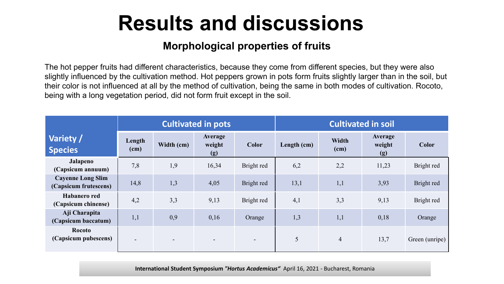#### **Morphological properties of fruits**

The hot pepper fruits had different characteristics, because they come from different species, but they were also slightly influenced by the cultivation method. Hot peppers grown in pots form fruits slightly larger than in the soil, but their color is not influenced at all by the method of cultivation, being the same in both modes of cultivation. Rocoto, being with a long vegetation period, did not form fruit except in the soil.

|                                                   |                          |                          | <b>Cultivated in pots</b>       |                          | <b>Cultivated in soil</b> |                      |                          |                |  |  |
|---------------------------------------------------|--------------------------|--------------------------|---------------------------------|--------------------------|---------------------------|----------------------|--------------------------|----------------|--|--|
| Variety /<br><b>Species</b>                       | Length<br>(cm)           | Width (cm)               | <b>Average</b><br>weight<br>(g) | Color                    | Length (cm)               | <b>Width</b><br>(cm) | Average<br>weight<br>(g) | Color          |  |  |
| <b>Jalapeno</b><br>(Capsicum annuum)              | 7,8                      | 1,9                      | 16,34                           | Bright red               | 6,2                       | 2,2                  | 11,23                    | Bright red     |  |  |
| <b>Cayenne Long Slim</b><br>(Capsicum frutescens) | 14,8                     | 1,3                      | 4,05                            | Bright red               | 13,1                      | 1,1                  | 3,93                     | Bright red     |  |  |
| Habanero red<br>(Capsicum chinense)               | 4,2                      | 3,3                      | 9,13                            | Bright red               | 4,1                       | 3,3                  | 9,13                     | Bright red     |  |  |
| Aji Charapita<br>(Capsicum baccatum)              | 1,1                      | 0,9                      | 0,16                            | Orange                   | 1,3                       | 1,1                  | 0,18                     | Orange         |  |  |
| <b>Rocoto</b><br>(Capsicum pubescens)             | $\overline{\phantom{a}}$ | $\overline{\phantom{0}}$ | $\overline{\phantom{a}}$        | $\overline{\phantom{a}}$ | 5                         | $\overline{4}$       | 13,7                     | Green (unripe) |  |  |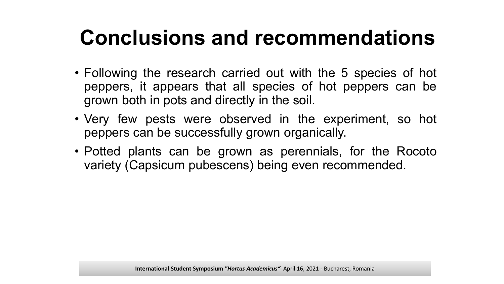# **Conclusions and recommendations**

- Following the research carried out with the 5 species of hot peppers, it appears that all species of hot peppers can be grown both in pots and directly in the soil.
- Very few pests were observed in the experiment, so hot peppers can be successfully grown organically.
- Potted plants can be grown as perennials, for the Rocoto variety (Capsicum pubescens) being even recommended.